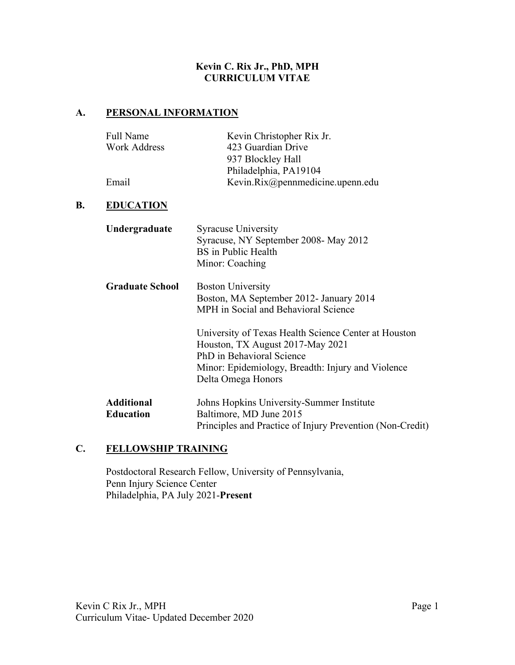#### **Kevin C. Rix Jr., PhD, MPH CURRICULUM VITAE**

# **A. PERSONAL INFORMATION**

| Full Name           | Kevin Christopher Rix Jr.        |
|---------------------|----------------------------------|
| <b>Work Address</b> | 423 Guardian Drive               |
|                     | 937 Blockley Hall                |
|                     | Philadelphia, PA19104            |
| Email               | Kevin.Rix@pennmedicine.upenn.edu |

#### **B. EDUCATION**

| Undergraduate                         | <b>Syracuse University</b><br>Syracuse, NY September 2008- May 2012<br>BS in Public Health<br>Minor: Coaching                                                                                    |
|---------------------------------------|--------------------------------------------------------------------------------------------------------------------------------------------------------------------------------------------------|
| <b>Graduate School</b>                | <b>Boston University</b><br>Boston, MA September 2012- January 2014<br>MPH in Social and Behavioral Science                                                                                      |
|                                       | University of Texas Health Science Center at Houston<br>Houston, TX August 2017-May 2021<br>PhD in Behavioral Science<br>Minor: Epidemiology, Breadth: Injury and Violence<br>Delta Omega Honors |
| <b>Additional</b><br><b>Education</b> | Johns Hopkins University-Summer Institute<br>Baltimore, MD June 2015<br>Principles and Practice of Injury Prevention (Non-Credit)                                                                |

## **C. FELLOWSHIP TRAINING**

Postdoctoral Research Fellow, University of Pennsylvania, Penn Injury Science Center Philadelphia, PA July 2021-**Present**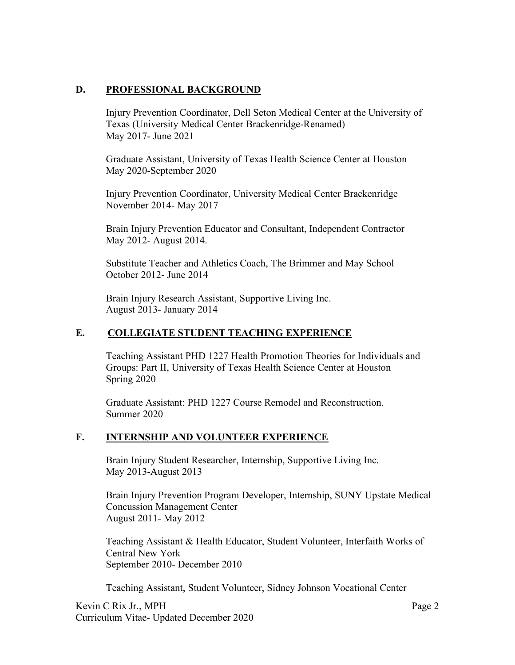## **D. PROFESSIONAL BACKGROUND**

Injury Prevention Coordinator, Dell Seton Medical Center at the University of Texas (University Medical Center Brackenridge-Renamed) May 2017- June 2021

Graduate Assistant, University of Texas Health Science Center at Houston May 2020-September 2020

Injury Prevention Coordinator, University Medical Center Brackenridge November 2014- May 2017

Brain Injury Prevention Educator and Consultant, Independent Contractor May 2012- August 2014.

Substitute Teacher and Athletics Coach, The Brimmer and May School October 2012- June 2014

Brain Injury Research Assistant, Supportive Living Inc. August 2013- January 2014

# **E. COLLEGIATE STUDENT TEACHING EXPERIENCE**

Teaching Assistant PHD 1227 Health Promotion Theories for Individuals and Groups: Part II, University of Texas Health Science Center at Houston Spring 2020

Graduate Assistant: PHD 1227 Course Remodel and Reconstruction. Summer 2020

## **F. INTERNSHIP AND VOLUNTEER EXPERIENCE**

Brain Injury Student Researcher, Internship, Supportive Living Inc. May 2013-August 2013

Brain Injury Prevention Program Developer, Internship, SUNY Upstate Medical Concussion Management Center August 2011- May 2012

Teaching Assistant & Health Educator, Student Volunteer, Interfaith Works of Central New York September 2010- December 2010

Teaching Assistant, Student Volunteer, Sidney Johnson Vocational Center

Kevin C Rix Jr., MPH Page 2 Curriculum Vitae- Updated December 2020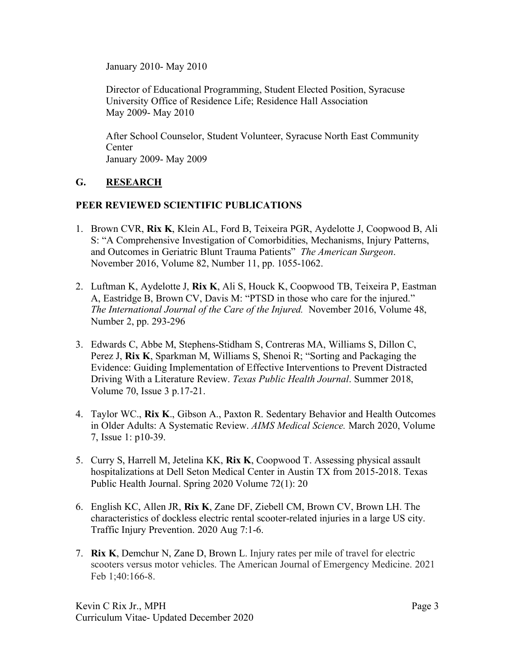January 2010- May 2010

Director of Educational Programming, Student Elected Position, Syracuse University Office of Residence Life; Residence Hall Association May 2009- May 2010

After School Counselor, Student Volunteer, Syracuse North East Community **Center** January 2009- May 2009

# **G. RESEARCH**

## **PEER REVIEWED SCIENTIFIC PUBLICATIONS**

- 1. Brown CVR, **Rix K**, Klein AL, Ford B, Teixeira PGR, Aydelotte J, Coopwood B, Ali S: "A Comprehensive Investigation of Comorbidities, Mechanisms, Injury Patterns, and Outcomes in Geriatric Blunt Trauma Patients" *The American Surgeon*. November 2016, Volume 82, Number 11, pp. 1055-1062.
- 2. Luftman K, Aydelotte J, **Rix K**, Ali S, Houck K, Coopwood TB, Teixeira P, Eastman A, Eastridge B, Brown CV, Davis M: "PTSD in those who care for the injured." *The International Journal of the Care of the Injured.* November 2016, Volume 48, Number 2, pp. 293-296
- 3. Edwards C, Abbe M, Stephens-Stidham S, Contreras MA, Williams S, Dillon C, Perez J, **Rix K**, Sparkman M, Williams S, Shenoi R; "Sorting and Packaging the Evidence: Guiding Implementation of Effective Interventions to Prevent Distracted Driving With a Literature Review. *Texas Public Health Journal*. Summer 2018, Volume 70, Issue 3 p.17-21.
- 4. Taylor WC., **Rix K**., Gibson A., Paxton R. Sedentary Behavior and Health Outcomes in Older Adults: A Systematic Review. *AIMS Medical Science.* March 2020, Volume 7, Issue 1: p10-39.
- 5. Curry S, Harrell M, Jetelina KK, **Rix K**, Coopwood T. Assessing physical assault hospitalizations at Dell Seton Medical Center in Austin TX from 2015-2018. Texas Public Health Journal. Spring 2020 Volume 72(1): 20
- 6. English KC, Allen JR, **Rix K**, Zane DF, Ziebell CM, Brown CV, Brown LH. The characteristics of dockless electric rental scooter-related injuries in a large US city. Traffic Injury Prevention. 2020 Aug 7:1-6.
- 7. **Rix K**, Demchur N, Zane D, Brown L. Injury rates per mile of travel for electric scooters versus motor vehicles. The American Journal of Emergency Medicine. 2021 Feb 1;40:166-8.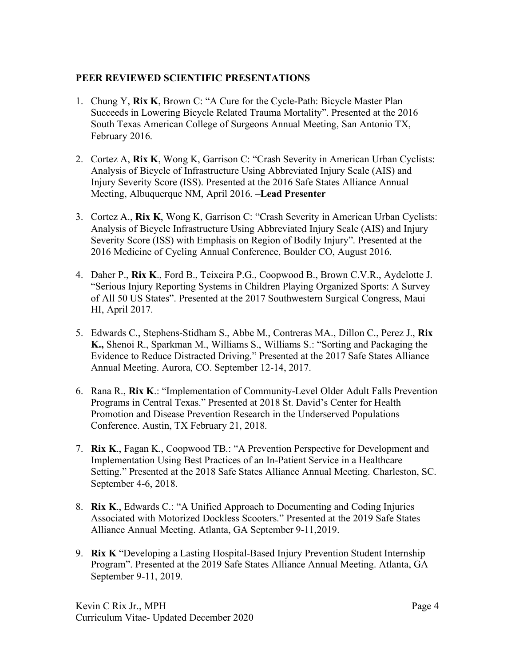## **PEER REVIEWED SCIENTIFIC PRESENTATIONS**

- 1. Chung Y, **Rix K**, Brown C: "A Cure for the Cycle-Path: Bicycle Master Plan Succeeds in Lowering Bicycle Related Trauma Mortality". Presented at the 2016 South Texas American College of Surgeons Annual Meeting, San Antonio TX, February 2016.
- 2. Cortez A, **Rix K**, Wong K, Garrison C: "Crash Severity in American Urban Cyclists: Analysis of Bicycle of Infrastructure Using Abbreviated Injury Scale (AIS) and Injury Severity Score (ISS). Presented at the 2016 Safe States Alliance Annual Meeting, Albuquerque NM, April 2016. –**Lead Presenter**
- 3. Cortez A., **Rix K**, Wong K, Garrison C: "Crash Severity in American Urban Cyclists: Analysis of Bicycle Infrastructure Using Abbreviated Injury Scale (AIS) and Injury Severity Score (ISS) with Emphasis on Region of Bodily Injury". Presented at the 2016 Medicine of Cycling Annual Conference, Boulder CO, August 2016.
- 4. Daher P., **Rix K**., Ford B., Teixeira P.G., Coopwood B., Brown C.V.R., Aydelotte J. "Serious Injury Reporting Systems in Children Playing Organized Sports: A Survey of All 50 US States". Presented at the 2017 Southwestern Surgical Congress, Maui HI, April 2017.
- 5. Edwards C., Stephens-Stidham S., Abbe M., Contreras MA., Dillon C., Perez J., **Rix K.,** Shenoi R., Sparkman M., Williams S., Williams S.: "Sorting and Packaging the Evidence to Reduce Distracted Driving." Presented at the 2017 Safe States Alliance Annual Meeting. Aurora, CO. September 12-14, 2017.
- 6. Rana R., **Rix K**.: "Implementation of Community-Level Older Adult Falls Prevention Programs in Central Texas." Presented at 2018 St. David's Center for Health Promotion and Disease Prevention Research in the Underserved Populations Conference. Austin, TX February 21, 2018.
- 7. **Rix K**., Fagan K., Coopwood TB.: "A Prevention Perspective for Development and Implementation Using Best Practices of an In-Patient Service in a Healthcare Setting." Presented at the 2018 Safe States Alliance Annual Meeting. Charleston, SC. September 4-6, 2018.
- 8. **Rix K**., Edwards C.: "A Unified Approach to Documenting and Coding Injuries Associated with Motorized Dockless Scooters." Presented at the 2019 Safe States Alliance Annual Meeting. Atlanta, GA September 9-11,2019.
- 9. **Rix K** "Developing a Lasting Hospital-Based Injury Prevention Student Internship Program". Presented at the 2019 Safe States Alliance Annual Meeting. Atlanta, GA September 9-11, 2019.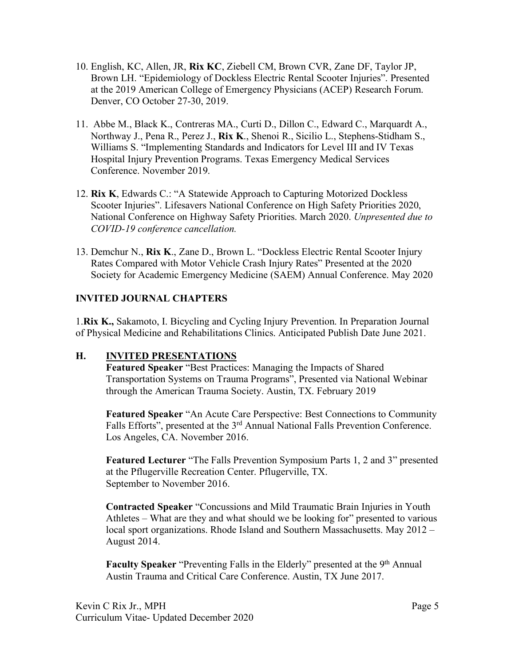- 10. English, KC, Allen, JR, **Rix KC**, Ziebell CM, Brown CVR, Zane DF, Taylor JP, Brown LH. "Epidemiology of Dockless Electric Rental Scooter Injuries". Presented at the 2019 American College of Emergency Physicians (ACEP) Research Forum. Denver, CO October 27-30, 2019.
- 11. Abbe M., Black K., Contreras MA., Curti D., Dillon C., Edward C., Marquardt A., Northway J., Pena R., Perez J., **Rix K**., Shenoi R., Sicilio L., Stephens-Stidham S., Williams S. "Implementing Standards and Indicators for Level III and IV Texas Hospital Injury Prevention Programs. Texas Emergency Medical Services Conference. November 2019.
- 12. **Rix K**, Edwards C.: "A Statewide Approach to Capturing Motorized Dockless Scooter Injuries". Lifesavers National Conference on High Safety Priorities 2020, National Conference on Highway Safety Priorities. March 2020. *Unpresented due to COVID-19 conference cancellation.*
- 13. Demchur N., **Rix K**., Zane D., Brown L. "Dockless Electric Rental Scooter Injury Rates Compared with Motor Vehicle Crash Injury Rates" Presented at the 2020 Society for Academic Emergency Medicine (SAEM) Annual Conference. May 2020

# **INVITED JOURNAL CHAPTERS**

1.**Rix K.,** Sakamoto, I. Bicycling and Cycling Injury Prevention. In Preparation Journal of Physical Medicine and Rehabilitations Clinics. Anticipated Publish Date June 2021.

## **H. INVITED PRESENTATIONS**

**Featured Speaker** "Best Practices: Managing the Impacts of Shared Transportation Systems on Trauma Programs", Presented via National Webinar through the American Trauma Society. Austin, TX. February 2019

**Featured Speaker** "An Acute Care Perspective: Best Connections to Community Falls Efforts", presented at the 3<sup>rd</sup> Annual National Falls Prevention Conference. Los Angeles, CA. November 2016.

**Featured Lecturer** "The Falls Prevention Symposium Parts 1, 2 and 3" presented at the Pflugerville Recreation Center. Pflugerville, TX. September to November 2016.

**Contracted Speaker** "Concussions and Mild Traumatic Brain Injuries in Youth Athletes – What are they and what should we be looking for" presented to various local sport organizations. Rhode Island and Southern Massachusetts. May 2012 – August 2014.

**Faculty Speaker** "Preventing Falls in the Elderly" presented at the 9<sup>th</sup> Annual Austin Trauma and Critical Care Conference. Austin, TX June 2017.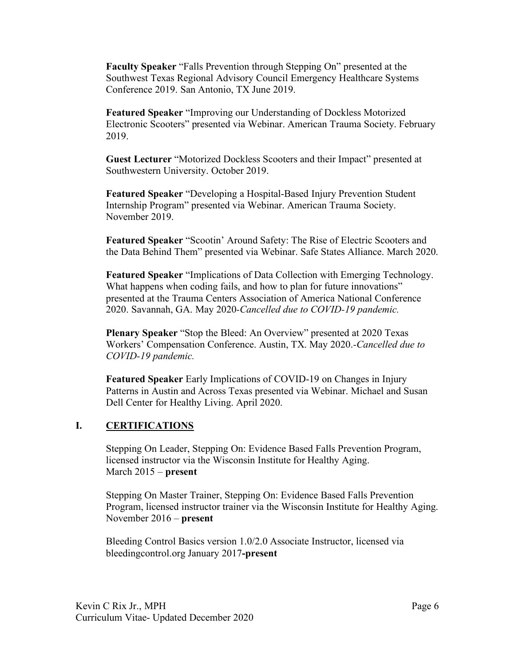**Faculty Speaker** "Falls Prevention through Stepping On" presented at the Southwest Texas Regional Advisory Council Emergency Healthcare Systems Conference 2019. San Antonio, TX June 2019.

**Featured Speaker** "Improving our Understanding of Dockless Motorized Electronic Scooters" presented via Webinar. American Trauma Society. February 2019.

**Guest Lecturer** "Motorized Dockless Scooters and their Impact" presented at Southwestern University. October 2019.

**Featured Speaker** "Developing a Hospital-Based Injury Prevention Student Internship Program" presented via Webinar. American Trauma Society. November 2019.

**Featured Speaker** "Scootin' Around Safety: The Rise of Electric Scooters and the Data Behind Them" presented via Webinar. Safe States Alliance. March 2020.

**Featured Speaker** "Implications of Data Collection with Emerging Technology. What happens when coding fails, and how to plan for future innovations" presented at the Trauma Centers Association of America National Conference 2020. Savannah, GA. May 2020*-Cancelled due to COVID-19 pandemic.*

**Plenary Speaker** "Stop the Bleed: An Overview" presented at 2020 Texas Workers' Compensation Conference. Austin, TX. May 2020.*-Cancelled due to COVID-19 pandemic.*

**Featured Speaker** Early Implications of COVID-19 on Changes in Injury Patterns in Austin and Across Texas presented via Webinar. Michael and Susan Dell Center for Healthy Living. April 2020.

## **I. CERTIFICATIONS**

Stepping On Leader, Stepping On: Evidence Based Falls Prevention Program, licensed instructor via the Wisconsin Institute for Healthy Aging. March 2015 – **present**

Stepping On Master Trainer, Stepping On: Evidence Based Falls Prevention Program, licensed instructor trainer via the Wisconsin Institute for Healthy Aging. November 2016 – **present**

Bleeding Control Basics version 1.0/2.0 Associate Instructor, licensed via bleedingcontrol.org January 2017**-present**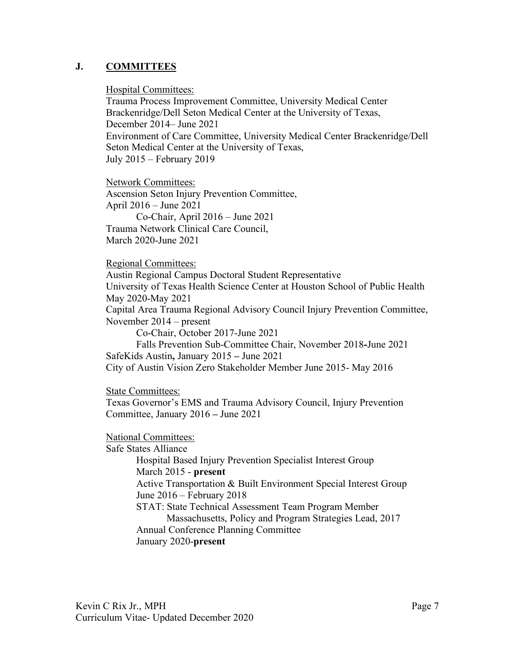#### **J. COMMITTEES**

Hospital Committees:

Trauma Process Improvement Committee, University Medical Center Brackenridge/Dell Seton Medical Center at the University of Texas, December 2014– June 2021 Environment of Care Committee, University Medical Center Brackenridge/Dell Seton Medical Center at the University of Texas, July 2015 – February 2019

Network Committees: Ascension Seton Injury Prevention Committee, April 2016 – June 2021 Co-Chair, April 2016 – June 2021 Trauma Network Clinical Care Council, March 2020-June 2021

Regional Committees:

Austin Regional Campus Doctoral Student Representative University of Texas Health Science Center at Houston School of Public Health May 2020-May 2021 Capital Area Trauma Regional Advisory Council Injury Prevention Committee, November 2014 – present Co-Chair, October 2017-June 2021 Falls Prevention Sub-Committee Chair, November 2018**-**June 2021 SafeKids Austin**,** January 2015 **–** June 2021 City of Austin Vision Zero Stakeholder Member June 2015- May 2016

State Committees:

Texas Governor's EMS and Trauma Advisory Council, Injury Prevention Committee, January 2016 **–** June 2021

National Committees: Safe States Alliance Hospital Based Injury Prevention Specialist Interest Group March 2015 - **present** Active Transportation & Built Environment Special Interest Group June 2016 – February 2018 STAT: State Technical Assessment Team Program Member Massachusetts, Policy and Program Strategies Lead, 2017 Annual Conference Planning Committee January 2020-**present**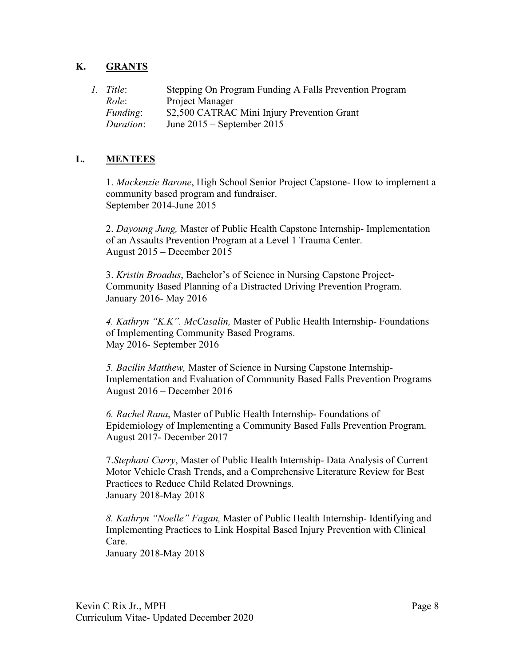# **K. GRANTS**

| 1. Title:       | Stepping On Program Funding A Falls Prevention Program |
|-----------------|--------------------------------------------------------|
| Role:           | Project Manager                                        |
| <i>Funding:</i> | \$2,500 CATRAC Mini Injury Prevention Grant            |
| Duration:       | June $2015$ – September 2015                           |

## **L. MENTEES**

1. *Mackenzie Barone*, High School Senior Project Capstone- How to implement a community based program and fundraiser. September 2014-June 2015

2. *Dayoung Jung,* Master of Public Health Capstone Internship- Implementation of an Assaults Prevention Program at a Level 1 Trauma Center. August 2015 – December 2015

3. *Kristin Broadus*, Bachelor's of Science in Nursing Capstone Project-Community Based Planning of a Distracted Driving Prevention Program. January 2016- May 2016

*4. Kathryn "K.K". McCasalin,* Master of Public Health Internship- Foundations of Implementing Community Based Programs. May 2016- September 2016

*5. Bacilin Matthew,* Master of Science in Nursing Capstone Internship-Implementation and Evaluation of Community Based Falls Prevention Programs August 2016 – December 2016

*6. Rachel Rana*, Master of Public Health Internship- Foundations of Epidemiology of Implementing a Community Based Falls Prevention Program. August 2017- December 2017

7.*Stephani Curry*, Master of Public Health Internship- Data Analysis of Current Motor Vehicle Crash Trends, and a Comprehensive Literature Review for Best Practices to Reduce Child Related Drownings. January 2018-May 2018

*8. Kathryn "Noelle" Fagan,* Master of Public Health Internship- Identifying and Implementing Practices to Link Hospital Based Injury Prevention with Clinical Care. January 2018-May 2018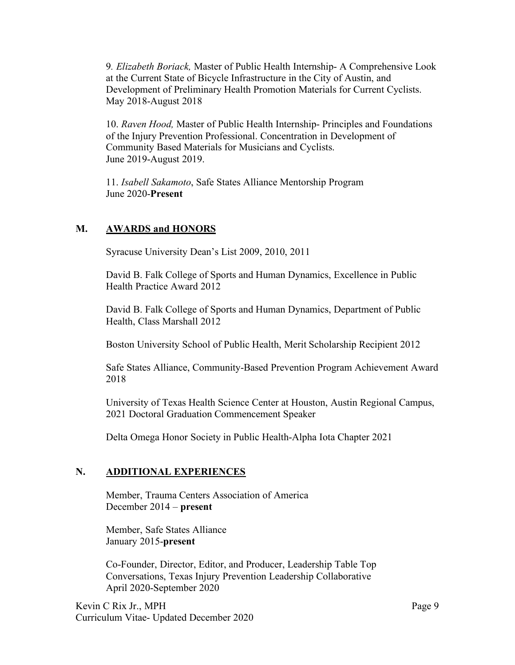9*. Elizabeth Boriack,* Master of Public Health Internship- A Comprehensive Look at the Current State of Bicycle Infrastructure in the City of Austin, and Development of Preliminary Health Promotion Materials for Current Cyclists. May 2018-August 2018

10. *Raven Hood,* Master of Public Health Internship- Principles and Foundations of the Injury Prevention Professional. Concentration in Development of Community Based Materials for Musicians and Cyclists. June 2019-August 2019.

11. *Isabell Sakamoto*, Safe States Alliance Mentorship Program June 2020-**Present**

# **M. AWARDS and HONORS**

Syracuse University Dean's List 2009, 2010, 2011

David B. Falk College of Sports and Human Dynamics, Excellence in Public Health Practice Award 2012

David B. Falk College of Sports and Human Dynamics, Department of Public Health, Class Marshall 2012

Boston University School of Public Health, Merit Scholarship Recipient 2012

Safe States Alliance, Community-Based Prevention Program Achievement Award 2018

University of Texas Health Science Center at Houston, Austin Regional Campus, 2021 Doctoral Graduation Commencement Speaker

Delta Omega Honor Society in Public Health-Alpha Iota Chapter 2021

## **N. ADDITIONAL EXPERIENCES**

Member, Trauma Centers Association of America December 2014 – **present**

Member, Safe States Alliance January 2015-**present**

Co-Founder, Director, Editor, and Producer, Leadership Table Top Conversations, Texas Injury Prevention Leadership Collaborative April 2020-September 2020

Kevin C Rix Jr., MPH Page 9 Curriculum Vitae- Updated December 2020